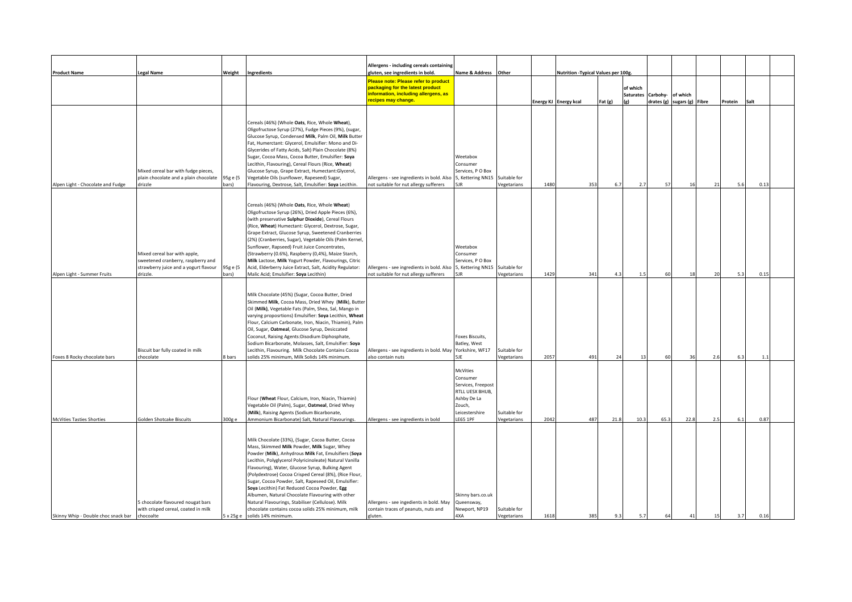|                                     |                                                                                                                         |                   |                                                                                                                                                                                                                                                                                                                                                                                                                                                                                                                                                                                                                                | Allergens - including cereals containing                                                                                                                                    | Name & Address Other                                                                                                        |                             |      | Nutrition - Typical Values per 100g. |           |                                     |          |                                         |               |         |      |  |
|-------------------------------------|-------------------------------------------------------------------------------------------------------------------------|-------------------|--------------------------------------------------------------------------------------------------------------------------------------------------------------------------------------------------------------------------------------------------------------------------------------------------------------------------------------------------------------------------------------------------------------------------------------------------------------------------------------------------------------------------------------------------------------------------------------------------------------------------------|-----------------------------------------------------------------------------------------------------------------------------------------------------------------------------|-----------------------------------------------------------------------------------------------------------------------------|-----------------------------|------|--------------------------------------|-----------|-------------------------------------|----------|-----------------------------------------|---------------|---------|------|--|
| <b>Product Name</b>                 | <b>Legal Name</b>                                                                                                       | Weight            | Ingredients                                                                                                                                                                                                                                                                                                                                                                                                                                                                                                                                                                                                                    | gluten, see ingredients in bold.<br>Please note: Please refer to product<br>packaging for the latest product<br>information, including allergens, as<br>recipes may change. |                                                                                                                             |                             |      | Energy KJ Energy kcal                | Fat $(g)$ | of which<br><b>Saturates</b><br>(ø) | Carbohy- | of which<br>drates (g) sugars (g) Fibre |               | Protein | Salt |  |
| Alpen Light - Chocolate and Fudge   | Mixed cereal bar with fudge pieces,<br>plain chocolate and a plain chocolate<br>drizzle                                 | 95g e (5<br>(pars | Cereals (46%) (Whole Oats, Rice, Whole Wheat),<br>Oligofructose Syrup (27%), Fudge Pieces (9%), (sugar,<br>Glucose Syrup, Condensed Milk, Palm Oil, Milk Butter<br>Fat, Humerctant: Glycerol, Emulsifier: Mono and Di-<br>Glycerides of Fatty Acids, Salt) Plain Chocolate (8%)<br>Sugar, Cocoa Mass, Cocoa Butter, Emulsifier: Soya<br>Lecithin, Flavouring), Cereal Flours (Rice, Wheat)<br>Glucose Syrup, Grape Extract, Humectant:Glycerol,<br>Vegetable Oils (sunflower, Rapeseed) Sugar,<br>Flavouring, Dextrose, Salt, Emulsifier: Soya Lecithin.                                                                       | Allergens - see ingredients in bold. Also<br>not suitable for nut allergy sufferers                                                                                         | Weetabox<br>Consumer<br>Services, PO Box<br>5, Kettering NN15<br>5JR                                                        | Suitable for<br>Vegetarians | 1480 | 353                                  | 6.7       | 2.7                                 | 57       |                                         | $\mathcal{D}$ | 5.6     | 0.13 |  |
| Alpen Light - Summer Fruits         | Mixed cereal bar with apple,<br>sweetened cranberry, raspberry and<br>strawberry juice and a yogurt flavour<br>drizzle. | 95g e (5<br>bars) | Cereals (46%) (Whole Oats, Rice, Whole Wheat)<br>Oligofructose Syrup (26%), Dried Apple Pieces (6%),<br>(with preservative Sulphur Dioxide), Cereal Flours<br>(Rice, Wheat) Humectant: Glycerol, Dextrose, Sugar,<br>Grape Extract, Glucose Syrup, Sweetened Cranberries<br>(2%) (Cranberries, Sugar), Vegetable Oils (Palm Kernel,<br>Sunflower, Rapseed) Fruit Juice Concentrates,<br>(Strawberry (0.6%), Raspberry (0,4%), Maize Starch,<br>Milk Lactose, Milk Yogurt Powder, Flavourings, Citric<br>Acid, Elderberry Juice Extract, Salt, Acidity Regulator:<br>Malic Acid; Emulsifier: Soya Lecithin)                     | Allergens - see ingredients in bold. Also<br>not suitable for nut allergy sufferers                                                                                         | Weetabox<br>Consumer<br>Services, PO Box<br>5, Kettering NN15<br><b>5IR</b>                                                 | Suitable for<br>Vegetarians | 1429 | 341                                  | 4.3       | 1.5                                 | 60       |                                         | 20            | 5.3     | 0.15 |  |
| Foxes 8 Rocky chocolate bars        | Biscuit bar fully coated in milk<br>chocolate                                                                           | 8 bars            | Milk Chocolate (45%) (Sugar, Cocoa Butter, Dried<br>Skimmed Milk, Cocoa Mass, Dried Whey (Milk), Butter<br>Oil (Milk), Vegetable Fats (Palm, Shea, Sal, Mango in<br>varying proposrtions) Emulsifier: Soya Lecithin, Wheat<br>Flour, Calcium Carbonate, Iron, Niacin, Thiamin), Palm<br>Oil, Sugar, Oatmeal, Glucose Syrup, Desiccated<br>Coconut, Raising Agents: Disodium Diphosphate,<br>Sodium Bicarbonate, Molasses, Salt, Emulsifier: Soya<br>Lecithin, Flavouring. Milk Chocolate Contains Cocoa<br>solids 25% minimum, Milk Solids 14% minimum.                                                                        | Allergens - see ingredients in bold. May<br>also contain nuts                                                                                                               | Foxes Biscuits,<br>Batley, West<br>Yorkshire, WF17<br>5 IF                                                                  | Suitable for<br>Vegetarians | 2057 | 491                                  | 24        | 13                                  | 60       | 36                                      | 2.6           | 6.3     | 1.1  |  |
| <b>McVities Tasties Shorties</b>    | <b>Golden Shotcake Biscuits</b>                                                                                         | 300g e            | Flour (Wheat Flour, Calcium, Iron, Niacin, Thiamin)<br>/egetable Oil (Palm), Sugar, Oatmeal, Dried Whey<br>(Milk), Raising Agents (Sodium Bicarbonate,<br>Ammonium Bicarbonate) Salt, Natural Flavourings.                                                                                                                                                                                                                                                                                                                                                                                                                     | Allergens - see ingredients in bold                                                                                                                                         | <b>McVities</b><br>Consumer<br>Services, Freepost<br>RTLL UESX BHUB,<br>Ashby De La<br>Zouch,<br>Leicestershire<br>LE65 1PF | Suitable for<br>Vegetarians | 2042 | 487                                  | 21.8      | 10.3                                | 65.3     | 22.8                                    | 2.1           | 6.1     | 0.87 |  |
| Skinny Whip - Double choc snack bar | 5 chocolate flavoured nougat bars<br>with crisped cereal, coated in milk<br>chocoalte                                   | 5 x 25g e         | Milk Chocolate (33%), (Sugar, Cocoa Butter, Cocoa<br>Mass, Skimmed Milk Powder, Milk Sugar, Whey<br>Powder (Milk), Anhydrous Milk Fat, Emulsifiers (Soya<br>Lecithin, Polyglycerol Polyricinoleate) Natural Vanilla<br>Flavouring), Water, Glucose Syrup, Bulking Agent<br>(Polydextrose) Cocoa Crisped Cereal (8%), (Rice Flour,<br>Sugar, Cocoa Powder, Salt, Rapeseed Oil, Emulsifier:<br>Soya Lecithin) Fat Reduced Cocoa Powder, Egg<br>Albumen, Natural Chocolate Flavouring with other<br>Natural Flavourings, Stabiliser (Cellulose). Milk<br>chocolate contains cocoa solids 25% minimum, milk<br>solids 14% minimum. | Allergens - see ingedients in bold. May<br>contain traces of peanuts, nuts and<br>gluten.                                                                                   | Skinny bars.co.uk<br>Queensway,<br>Newport, NP19<br>4XA                                                                     | Suitable for<br>Vegetarians | 1618 | 385                                  | 9.3       | 5.7                                 |          |                                         |               | 3.7     | 0.16 |  |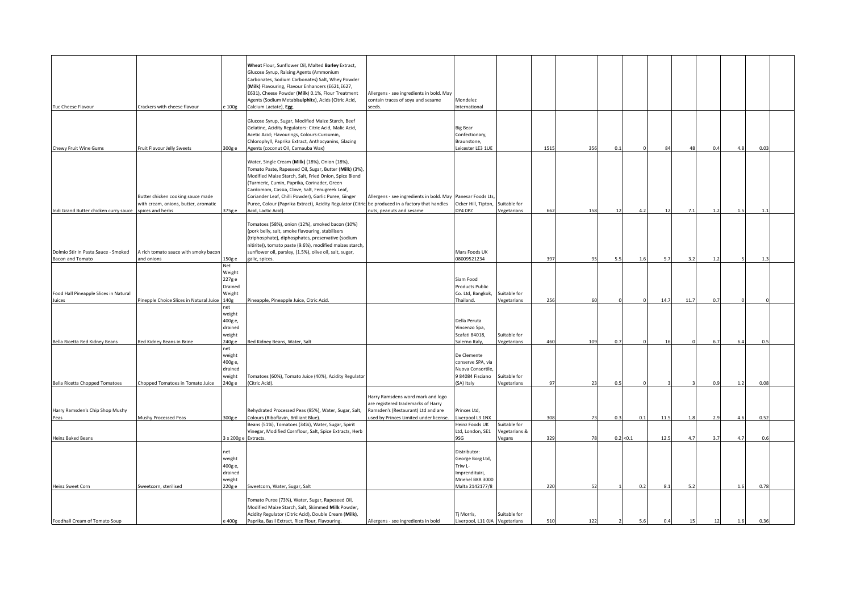| Tuc Cheese Flavour                                             | Crackers with cheese flavour                                              | e 100g                                                  | Wheat Flour, Sunflower Oil, Malted Barley Extract,<br>Glucose Syrup, Raising Agents (Ammonium<br>Carbonates, Sodium Carbonates) Salt, Whey Powder<br>(Milk) Flavouring, Flavour Enhancers (E621,E627,<br>E631), Cheese Powder (Milk) 0.1%, Flour Treatment<br>Agents (Sodium Metabisulphite), Acids (Citric Acid,<br>Calcium Lactate), Egg.<br>Glucose Syrup, Sugar, Modified Maize Starch, Beef<br>Gelatine, Acidity Regulators: Citric Acid, Malic Acid,<br>Acetic Acid; Flavourings, Colours:Curcumin,<br>Chlorophyll, Paprika Extract, Anthocyanins, Glazing | Allergens - see ingredients in bold. May<br>contain traces of soya and sesame<br>seeds.                                                                 | Mondelez<br>International<br><b>Big Bear</b><br>Confectionary,<br>Braunstone,                        |                               |      |     |     |           |                |                |     |                |      |  |
|----------------------------------------------------------------|---------------------------------------------------------------------------|---------------------------------------------------------|------------------------------------------------------------------------------------------------------------------------------------------------------------------------------------------------------------------------------------------------------------------------------------------------------------------------------------------------------------------------------------------------------------------------------------------------------------------------------------------------------------------------------------------------------------------|---------------------------------------------------------------------------------------------------------------------------------------------------------|------------------------------------------------------------------------------------------------------|-------------------------------|------|-----|-----|-----------|----------------|----------------|-----|----------------|------|--|
| Chewy Fruit Wine Gums                                          | Fruit Flavour Jelly Sweets                                                | 300g e                                                  | Agents (coconut Oil, Carnauba Wax)                                                                                                                                                                                                                                                                                                                                                                                                                                                                                                                               |                                                                                                                                                         | Leicester LE3 1UE                                                                                    |                               | 1515 | 356 | 0.1 |           | $\mathcal{R}$  |                | 0.4 | 4.8            | 0.03 |  |
| Indi Grand Butter chicken curry sauce spices and herbs         | Butter chicken cooking sauce made<br>with cream, onions, butter, aromatic | 375g e                                                  | Water, Single Cream (Milk) (18%), Onion (18%),<br>Tomato Paste, Rapeseed Oil, Sugar, Butter (Milk) (3%),<br>Modified Maize Starch, Salt, Fried Onion, Spice Blend<br>(Turmeric, Cumin, Paprika, Corinader, Green<br>Cardomom, Cassia, Clove, Salt, Fenugreek Leaf,<br>Coriander Leaf, Chilli Powder), Garlic Puree, Ginger<br>Puree, Colour (Paprika Extract), Acidity Regulator (Citric be produced in a factory that handles<br>Acid, Lactic Acid).                                                                                                            | Allergens - see ingredients in bold. May<br>nuts, peanuts and sesame                                                                                    | Panesar Foods Lts<br>Ocker Hill, Tipton,<br>DY4 OPZ                                                  | Suitable for<br>Vegetarians   | 662  | 158 | 12  | 4.2       | 12             | 7 <sup>1</sup> | 1.2 | 1.5            | 1.1  |  |
|                                                                |                                                                           |                                                         |                                                                                                                                                                                                                                                                                                                                                                                                                                                                                                                                                                  |                                                                                                                                                         |                                                                                                      |                               |      |     |     |           |                |                |     |                |      |  |
| Dolmio Stir In Pasta Sauce - Smoked<br><b>Bacon and Tomato</b> | A rich tomato sauce with smoky bacon<br>and onions                        | 150g e                                                  | Tomatoes (58%), onion (12%), smoked bacon (10%)<br>(pork belly, salt, smoke flavouring, stabilisers<br>(triphosphate), diphosphates, preservative (sodium<br>nitirite)), tomato paste (9.6%), modified maizes starch,<br>sunflower oil, parsley, (1.5%), olive oil, salt, sugar,<br>galic, spices.                                                                                                                                                                                                                                                               |                                                                                                                                                         | Mars Foods UK<br>08009521234                                                                         |                               | 397  | 95  | 5.1 | 1.6       | 5.3            | -3.2           | 1.2 |                | 1.3  |  |
|                                                                |                                                                           | Net                                                     |                                                                                                                                                                                                                                                                                                                                                                                                                                                                                                                                                                  |                                                                                                                                                         |                                                                                                      |                               |      |     |     |           |                |                |     |                |      |  |
| Food Hall Pineapple Slices in Natural<br>Juices                | Pinepple Choice Slices in Natural Juice                                   | Weight<br>227g e<br>Drained<br>Weight<br>140g           | Pineapple, Pineapple Juice, Citric Acid.                                                                                                                                                                                                                                                                                                                                                                                                                                                                                                                         |                                                                                                                                                         | Siam Food<br><b>Products Public</b><br>Co. Ltd, Bangkok,<br>Thailand.                                | Suitable for<br>Vegetarians   | 256  | 60  |     |           | 14.            | 11.7           | 0.7 |                |      |  |
|                                                                |                                                                           | net                                                     |                                                                                                                                                                                                                                                                                                                                                                                                                                                                                                                                                                  |                                                                                                                                                         |                                                                                                      |                               |      |     |     |           |                |                |     |                |      |  |
| Bella Ricetta Red Kidney Beans                                 | Red Kidney Beans in Brine                                                 | weight<br>400g e,<br>drained<br>weight<br>240g e        | Red Kidney Beans, Water, Salt                                                                                                                                                                                                                                                                                                                                                                                                                                                                                                                                    |                                                                                                                                                         | Della Peruta<br>Vincenzo Spa,<br>Scafati 84018,<br>Salerno Italy,                                    | Suitable for<br>Vegetarians   | 460  | 109 | 0.7 |           | 16             |                | 6.7 | 6.4            | 0.5  |  |
|                                                                |                                                                           | net                                                     |                                                                                                                                                                                                                                                                                                                                                                                                                                                                                                                                                                  |                                                                                                                                                         |                                                                                                      |                               |      |     |     |           |                |                |     |                |      |  |
| <b>Bella Ricetta Chopped Tomatoes</b>                          | Chopped Tomatoes in Tomato Juice                                          | weight<br>400g e,<br>drained<br>weight<br>240g e        | Tomatoes (60%), Tomato Juice (40%), Acidity Regulator<br>(Citric Acid).                                                                                                                                                                                                                                                                                                                                                                                                                                                                                          |                                                                                                                                                         | De Clemente<br>conserve SPA, via<br>Nuova Consortile<br>984084 Fisciano<br>(SA) Italy                | Suitable for<br>Vegetarians   | 97   | 23  | 0.5 |           |                |                | 0.9 | 1.2            | 0.08 |  |
|                                                                |                                                                           |                                                         |                                                                                                                                                                                                                                                                                                                                                                                                                                                                                                                                                                  |                                                                                                                                                         |                                                                                                      |                               |      |     |     |           |                |                |     |                |      |  |
| Harry Ramsden's Chip Shop Mushy<br>Peas                        | Mushy Processed Peas                                                      | 300g e                                                  | Rehydrated Processed Peas (95%), Water, Sugar, Salt,<br>Colours (Riboflavin, Brilliant Blue).                                                                                                                                                                                                                                                                                                                                                                                                                                                                    | Harry Ramsdens word mark and logo<br>are registered trademarks of Harry<br>Ramsden's (Restaurant) Ltd and are<br>used by Princes Limited under license. | Princes Ltd,<br>Liverpool L3 1NX                                                                     |                               | 308  | 73  | 0.3 | 0.1       | 11.5           | 1.3            | 2.9 | 4.6            | 0.52 |  |
|                                                                |                                                                           |                                                         | Beans (51%), Tomatoes (34%), Water, Sugar, Spirit<br>Vinegar, Modified Cornflour, Salt, Spice Extracts, Herb                                                                                                                                                                                                                                                                                                                                                                                                                                                     |                                                                                                                                                         | Heinz Foods UK<br>Ltd, London, SE1                                                                   | Suitable for<br>Vegetarians & |      |     |     |           |                |                |     |                |      |  |
| Heinz Baked Beans                                              |                                                                           |                                                         | 3 x 200g e Extracts.                                                                                                                                                                                                                                                                                                                                                                                                                                                                                                                                             |                                                                                                                                                         | 9SG                                                                                                  | Vegans                        | 329  | 78  |     | 0.2 < 0.1 | 12.5           | 4.             | 3.7 | 4.7            | 0.6  |  |
| Heinz Sweet Corn                                               | Sweetcorn, sterilised                                                     | net<br>weight<br>400g e,<br>drained<br>weight<br>220g e | Sweetcorn, Water, Sugar, Salt                                                                                                                                                                                                                                                                                                                                                                                                                                                                                                                                    |                                                                                                                                                         | Distributor:<br>George Borg Ltd,<br>Triw L-<br>Imprendituiri,<br>Mriehel BKR 3000<br>Malta 2142177/8 |                               | 220  | 52  |     | 0.2       | 8.             | $\overline{5}$ |     | 1 <sub>1</sub> | 0.78 |  |
|                                                                |                                                                           |                                                         |                                                                                                                                                                                                                                                                                                                                                                                                                                                                                                                                                                  |                                                                                                                                                         |                                                                                                      |                               |      |     |     |           |                |                |     |                |      |  |
| Foodhall Cream of Tomato Soup                                  |                                                                           | e 400g                                                  | Tomato Puree (73%), Water, Sugar, Rapeseed Oil,<br>Modified Maize Starch, Salt, Skimmed Milk Powder,<br>Acidity Regulator (Citric Acid), Double Cream (Milk),<br>Paprika, Basil Extract, Rice Flour, Flavouring.                                                                                                                                                                                                                                                                                                                                                 | Allergens - see ingredients in bold                                                                                                                     | Tj Morris,<br>Liverpool, L11 OJA Vegetarians                                                         | Suitable for                  | 510  | 122 |     | 56        | 0 <sub>4</sub> |                |     | 1 <sub>1</sub> | 0.36 |  |
|                                                                |                                                                           |                                                         |                                                                                                                                                                                                                                                                                                                                                                                                                                                                                                                                                                  |                                                                                                                                                         |                                                                                                      |                               |      |     |     |           |                |                |     |                |      |  |